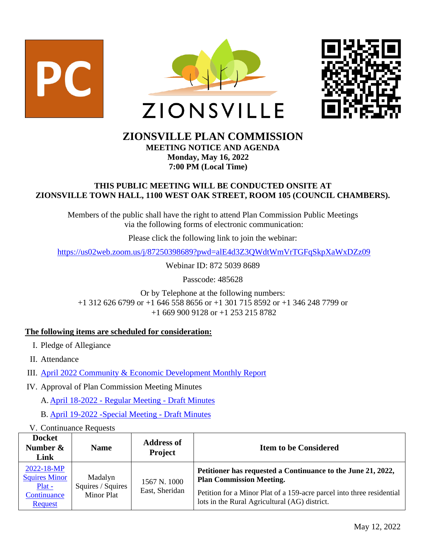





# **ZIONSVILLE PLAN COMMISSION**

**MEETING NOTICE AND AGENDA Monday, May 16, 2022 7:00 PM (Local Time)**

## **THIS PUBLIC MEETING WILL BE CONDUCTED ONSITE AT ZIONSVILLE TOWN HALL, 1100 WEST OAK STREET, ROOM 105 (COUNCIL CHAMBERS).**

Members of the public shall have the right to attend Plan Commission Public Meetings via the following forms of electronic communication:

Please click the following link to join the webinar:

<https://us02web.zoom.us/j/87250398689?pwd=alE4d3Z3QWdtWmVrTGFqSkpXaWxDZz09>

Webinar ID: 872 5039 8689

Passcode: 485628

Or by Telephone at the following numbers: +1 312 626 6799 or +1 646 558 8656 or +1 301 715 8592 or +1 346 248 7799 or +1 669 900 9128 or +1 253 215 8782

## **The following items are scheduled for consideration:**

- I. Pledge of Allegiance
- II. Attendance
- III. [April 2022 Community & Economic Development Monthly Report](https://www.zionsville-in.gov/DocumentCenter/View/5169/April-2022-Community-and-Economic-Development-Monthly-Report-PDF)
- IV. Approval of Plan Commission Meeting Minutes
	- A. April 18-2022 [Regular Meeting -](https://www.zionsville-in.gov/DocumentCenter/View/5167/PC_Meeting-04-18-2022---Draft-Minutes) Draft Minutes
	- B. [April 19-2022 -Special Meeting -](https://www.zionsville-in.gov/DocumentCenter/View/5168/PC_Special-Meeting---Draft-Minutes-04-19-2022) Draft Minutes
- V. Continuance Requests

| <b>Docket</b><br>Number $\&$<br>Link                                     | <b>Name</b>                                       | <b>Address of</b><br><b>Project</b> | <b>Item to be Considered</b>                                                                                                                                                                                              |
|--------------------------------------------------------------------------|---------------------------------------------------|-------------------------------------|---------------------------------------------------------------------------------------------------------------------------------------------------------------------------------------------------------------------------|
| 2022-18-MP<br><b>Squires Minor</b><br>$Plat -$<br>Continuance<br>Request | Madalyn<br>Squires / Squires<br><b>Minor Plat</b> | 1567 N. 1000<br>East, Sheridan      | Petitioner has requested a Continuance to the June 21, 2022,<br><b>Plan Commission Meeting.</b><br>Petition for a Minor Plat of a 159-acre parcel into three residential<br>lots in the Rural Agricultural (AG) district. |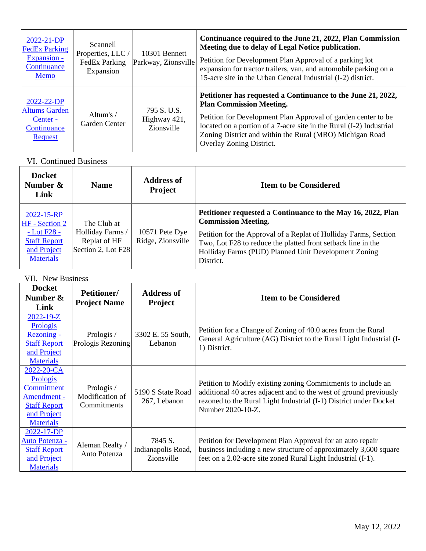| $2022 - 21 - DP$<br><b>FedEx Parking</b><br>$Expanion -$<br>Continuance<br>Memo | Scannell<br>Properties, LLC/<br>FedEx Parking<br>Expansion | 10301 Bennett<br>Parkway, Zionsville      | Continuance required to the June 21, 2022, Plan Commission<br>Meeting due to delay of Legal Notice publication.<br>Petition for Development Plan Approval of a parking lot<br>expansion for tractor trailers, van, and automobile parking on a<br>15-acre site in the Urban General Industrial (I-2) district.                  |
|---------------------------------------------------------------------------------|------------------------------------------------------------|-------------------------------------------|---------------------------------------------------------------------------------------------------------------------------------------------------------------------------------------------------------------------------------------------------------------------------------------------------------------------------------|
| $2022 - 22 - DP$<br><b>Altums Garden</b><br>Center -<br>Continuance<br>Request  | Altum's $/$<br>Garden Center                               | 795 S. U.S.<br>Highway 421,<br>Zionsville | Petitioner has requested a Continuance to the June 21, 2022,<br><b>Plan Commission Meeting.</b><br>Petition for Development Plan Approval of garden center to be<br>located on a portion of a 7-acre site in the Rural (I-2) Industrial<br>Zoning District and within the Rural (MRO) Michigan Road<br>Overlay Zoning District. |

## VI. Continued Business

| <b>Docket</b><br>Number $\&$<br>Link                                                                   | <b>Name</b>                                                           | <b>Address of</b><br><b>Project</b> | <b>Item to be Considered</b>                                                                                                                                                                                                                                                                        |
|--------------------------------------------------------------------------------------------------------|-----------------------------------------------------------------------|-------------------------------------|-----------------------------------------------------------------------------------------------------------------------------------------------------------------------------------------------------------------------------------------------------------------------------------------------------|
| 2022-15-RP<br>HF - Section 2<br>$-Lot F28 -$<br><b>Staff Report</b><br>and Project<br><b>Materials</b> | The Club at<br>Holliday Farms /<br>Replat of HF<br>Section 2, Lot F28 | 10571 Pete Dye<br>Ridge, Zionsville | Petitioner requested a Continuance to the May 16, 2022, Plan<br><b>Commission Meeting.</b><br>Petition for the Approval of a Replat of Holliday Farms, Section<br>Two, Lot F28 to reduce the platted front setback line in the<br>Holliday Farms (PUD) Planned Unit Development Zoning<br>District. |

#### VII. New Business

| <b>Docket</b><br>Number $\&$<br>Link                                                                                 | <b>Petitioner/</b><br><b>Project Name</b>    | <b>Address of</b><br><b>Project</b>         | <b>Item to be Considered</b>                                                                                                                                                                                                |
|----------------------------------------------------------------------------------------------------------------------|----------------------------------------------|---------------------------------------------|-----------------------------------------------------------------------------------------------------------------------------------------------------------------------------------------------------------------------------|
| $2022 - 19 - Z$<br>Prologis<br>Rezoning -<br><b>Staff Report</b><br>and Project<br><b>Materials</b>                  | Prologis /<br>Prologis Rezoning              | 3302 E. 55 South,<br>Lebanon                | Petition for a Change of Zoning of 40.0 acres from the Rural<br>General Agriculture (AG) District to the Rural Light Industrial (I-<br>1) District.                                                                         |
| 2022-20-CA<br><b>Prologis</b><br>Commitment<br>Amendment -<br><b>Staff Report</b><br>and Project<br><b>Materials</b> | Prologis /<br>Modification of<br>Commitments | 5190 S State Road<br>267, Lebanon           | Petition to Modify existing zoning Commitments to include an<br>additional 40 acres adjacent and to the west of ground previously<br>rezoned to the Rural Light Industrial (I-1) District under Docket<br>Number 2020-10-Z. |
| 2022-17-DP<br>Auto Potenza -<br><b>Staff Report</b><br>and Project<br><b>Materials</b>                               | Aleman Realty /<br>Auto Potenza              | 7845 S.<br>Indianapolis Road,<br>Zionsville | Petition for Development Plan Approval for an auto repair<br>business including a new structure of approximately 3,600 square<br>feet on a 2.02-acre site zoned Rural Light Industrial (I-1).                               |